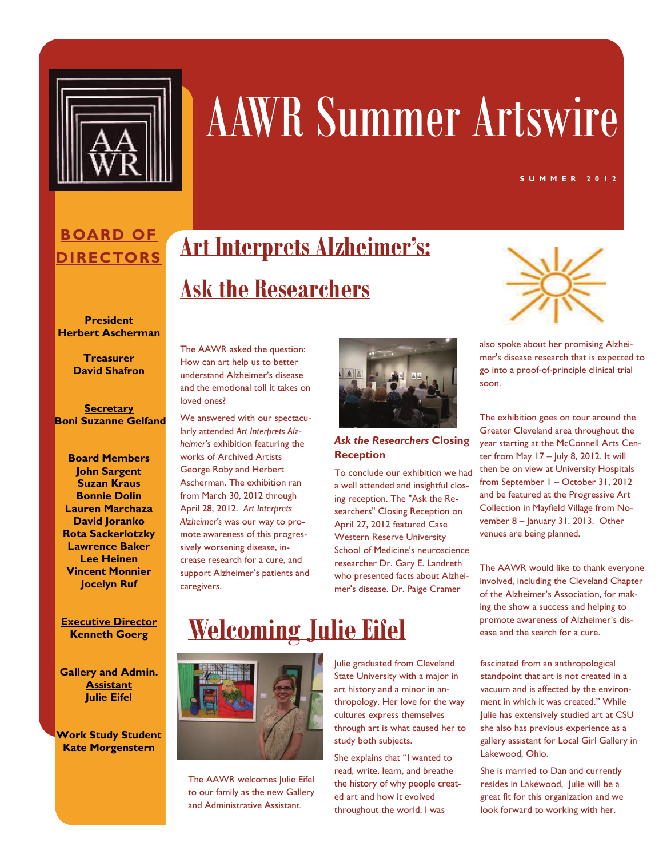

# AAWR Summer Artswire

**SUMMER 2012** 

#### **BOARD OF DIRECTORS**

### **Art Interprets Alzheimer's: Ask the Researchers**

**President Herbert Ascherman** 

> **Treasurer David Shafron**

#### **Secretary Boni Suzanne Gelfand**

**Board Members John Sargent Suzan Kraus Bonnie Dolin Lauren Marchaza David Joranko Rota Sackerlotzky Lawrence Baker Lee Heinen Vincent Monnier Jocelyn Ruf** 

The AAWR asked the question: How can art help us to better understand Alzheimer's disease and the emotional toll it takes on loved ones?

We answered with our spectacularly attended *Art Interprets Alzheimer's* exhibition featuring the works of Archived Artists George Roby and Herbert Ascherman. The exhibition ran from March 30, 2012 through April 28, 2012. *Art Interprets Alzheimer's* was our way to promote awareness of this progressively worsening disease, increase research for a cure, and support Alzheimer's patients and caregivers.



#### *Ask the Researchers* **Closing Reception**

To conclude our exhibition we had a well attended and insightful closing reception. The "Ask the Researchers" Closing Reception on April 27, 2012 featured Case Western Reserve University School of Medicine's neuroscience researcher Dr. Gary E. Landreth who presented facts about Alzheimer's disease. Dr. Paige Cramer



also spoke about her promising Alzheimer's disease research that is expected to go into a proof-of-principle clinical trial soon.

The exhibition goes on tour around the Greater Cleveland area throughout the year starting at the McConnell Arts Center from May  $17 -$  July 8, 2012. It will then be on view at University Hospitals from September 1 – October 31, 2012 and be featured at the Progressive Art Collection in Mayfield Village from November 8 – January 31, 2013. Other venues are being planned.

The AAWR would like to thank everyone involved, including the Cleveland Chapter of the Alzheimer's Association, for making the show a success and helping to promote awareness of Alzheimer's disease and the search for a cure.

fascinated from an anthropological standpoint that art is not created in a vacuum and is affected by the environment in which it was created." While Julie has extensively studied art at CSU she also has previous experience as a gallery assistant for Local Girl Gallery in Lakewood, Ohio.

She is married to Dan and currently resides in Lakewood, Julie will be a great fit for this organization and we look forward to working with her.

#### **Executive Director Kenneth Goerg**

**Gallery and Admin. Assistant Julie Eifel** 

**Work Study Student Kate Morgenstern** 

### **Welcoming Julie Eifel**



The AAWR welcomes Julie Eifel to our family as the new Gallery and Administrative Assistant.

Julie graduated from Cleveland State University with a major in art history and a minor in anthropology. Her love for the way cultures express themselves through art is what caused her to study both subjects.

She explains that "I wanted to read, write, learn, and breathe the history of why people created art and how it evolved throughout the world. I was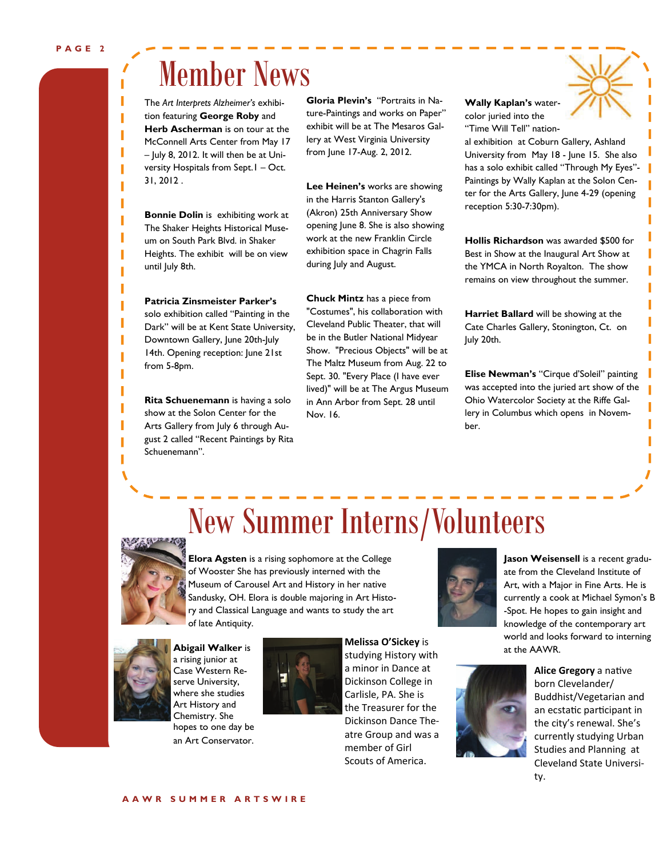ī Ī ī ī

ī Ī ī

ī

Ī

### Member News

The *Art Interprets Alzheimer's* exhibition featuring **George Roby** and **Herb Ascherman** is on tour at the McConnell Arts Center from May 17 – July 8, 2012. It will then be at University Hospitals from Sept.1 – Oct. 31, 2012 .

**Bonnie Dolin** is exhibiting work at The Shaker Heights Historical Museum on South Park Blvd. in Shaker Heights. The exhibit will be on view until July 8th.

**Patricia Zinsmeister Parker's** 

solo exhibition called "Painting in the Dark" will be at Kent State University, Downtown Gallery, June 20th-July 14th. Opening reception: June 21st from 5-8pm.

**Rita Schuenemann** is having a solo show at the Solon Center for the Arts Gallery from July 6 through August 2 called "Recent Paintings by Rita Schuenemann".

**Gloria Plevin's** "Portraits in Nature-Paintings and works on Paper" exhibit will be at The Mesaros Gallery at West Virginia University from June 17-Aug. 2, 2012.

**Lee Heinen's** works are showing in the Harris Stanton Gallery's (Akron) 25th Anniversary Show opening June 8. She is also showing work at the new Franklin Circle exhibition space in Chagrin Falls during July and August.

**Chuck Mintz** has a piece from "Costumes", his collaboration with Cleveland Public Theater, that will be in the Butler National Midyear Show. "Precious Objects" will be at The Maltz Museum from Aug. 22 to Sept. 30. "Every Place (I have ever lived)" will be at The Argus Museum in Ann Arbor from Sept. 28 until Nov. 16.



"Time Will Tell" national exhibition at Coburn Gallery, Ashland University from May 18 - June 15. She also has a solo exhibit called "Through My Eyes"- Paintings by Wally Kaplan at the Solon Center for the Arts Gallery, June 4-29 (opening reception 5:30-7:30pm).

**Hollis Richardson** was awarded \$500 for Best in Show at the Inaugural Art Show at the YMCA in North Royalton. The show remains on view throughout the summer.

**Harriet Ballard** will be showing at the Cate Charles Gallery, Stonington, Ct. on July 20th.

**Elise Newman's** "Cirque d'Soleil" painting was accepted into the juried art show of the Ohio Watercolor Society at the Riffe Gallery in Columbus which opens in November.

п

## New Summer Interns/Volunteers



**Elora Agsten** is a rising sophomore at the College of Wooster She has previously interned with the Museum of Carousel Art and History in her native Sandusky, OH. Elora is double majoring in Art History and Classical Language and wants to study the art of late Antiquity.



a rising junior at Case Western Reserve University, where she studies Art History and Chemistry. She hopes to one day be an Art Conservator.



**Abigail Walker is <b>Abigail Walker** is **in the AAWR. is the AAWR. is the AAWR**. **Melissa O'Sickey** is studying History with a minor in Dance at Dickinson College in Carlisle, PA. She is the Treasurer for the Dickinson Dance The‐ atre Group and was a member of Girl Scouts of America.



**Jason Weisensell** is a recent graduate from the Cleveland Institute of Art, with a Major in Fine Arts. He is currently a cook at Michael Symon's B -Spot. He hopes to gain insight and knowledge of the contemporary art world and looks forward to interning



**Alice Gregory** a naƟve born Clevelander/ Buddhist/Vegetarian and an ecstatic participant in the city's renewal. She's currently studying Urban Studies and Planning at Cleveland State Universi‐ ty.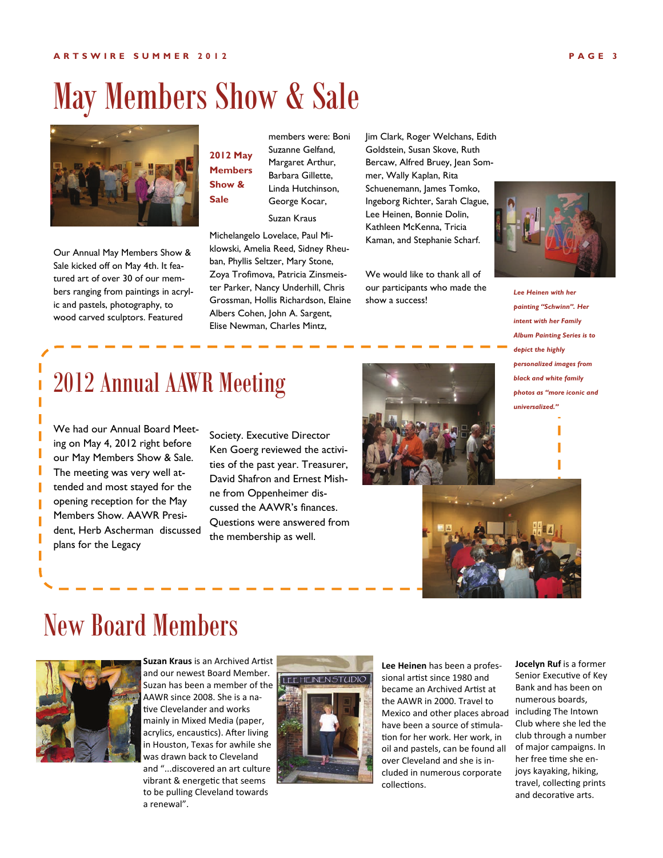### May Members Show & Sale



Our Annual May Members Show & Sale kicked off on May 4th. It featured art of over 30 of our members ranging from paintings in acrylic and pastels, photography, to wood carved sculptors. Featured

members were: Boni Suzanne Gelfand, Margaret Arthur, Barbara Gillette, Linda Hutchinson, George Kocar, **2012 May Members Show & Sale** 

Suzan Kraus

Michelangelo Lovelace, Paul Miklowski, Amelia Reed, Sidney Rheuban, Phyllis Seltzer, Mary Stone, Zoya Trofimova, Patricia Zinsmeister Parker, Nancy Underhill, Chris Grossman, Hollis Richardson, Elaine Albers Cohen, John A. Sargent, Elise Newman, Charles Mintz,

Jim Clark, Roger Welchans, Edith Goldstein, Susan Skove, Ruth Bercaw, Alfred Bruey, Jean Sommer, Wally Kaplan, Rita Schuenemann, James Tomko, Ingeborg Richter, Sarah Clague, Lee Heinen, Bonnie Dolin, Kathleen McKenna, Tricia Kaman, and Stephanie Scharf.

We would like to thank all of our participants who made the show a success!



*Lee Heinen with her painting "Schwinn". Her intent with her Family Album Painting Series is to depict the highly personalized images from black and white family photos as "more iconic and universalized."* 

#### 2012 Annual AAWR Meeting

We had our Annual Board Meeting on May 4, 2012 right before our May Members Show & Sale. The meeting was very well attended and most stayed for the opening reception for the May Members Show. AAWR President, Herb Ascherman discussed plans for the Legacy

Society. Executive Director Ken Goerg reviewed the activities of the past year. Treasurer, David Shafron and Ernest Mishne from Oppenheimer discussed the AAWR's finances. Questions were answered from the membership as well.





### New Board Members



**Suzan Kraus** is an Archived Artist and our newest Board Member. Suzan has been a member of the AAWR since 2008. She is a na‐ tive Clevelander and works mainly in Mixed Media (paper, acrylics, encaustics). After living in Houston, Texas for awhile she was drawn back to Cleveland and "...discovered an art culture vibrant & energetic that seems to be pulling Cleveland towards a renewal".



**Lee Heinen** has been a profes‐ sional artist since 1980 and became an Archived Artist at the AAWR in 2000. Travel to Mexico and other places abroad including The Intown have been a source of stimulation for her work. Her work, in oil and pastels, can be found all over Cleveland and she is in‐ cluded in numerous corporate collections.

**Jocelyn Ruf** is a former Senior Executive of Key Bank and has been on numerous boards, Club where she led the club through a number of major campaigns. In her free time she enjoys kayaking, hiking, travel, collecting prints and decorative arts.